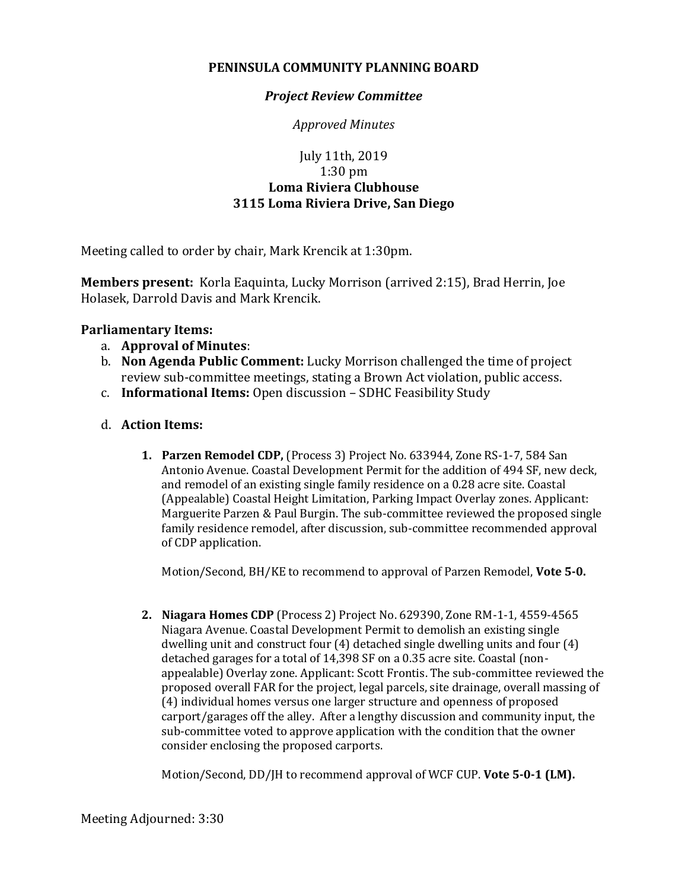## **PENINSULA COMMUNITY PLANNING BOARD**

## *Project Review Committee*

*Approved Minutes*

## July 11th, 2019 1:30 pm **Loma Riviera Clubhouse 3115 Loma Riviera Drive, San Diego**

Meeting called to order by chair, Mark Krencik at 1:30pm.

**Members present:** Korla Eaquinta, Lucky Morrison (arrived 2:15), Brad Herrin, Joe Holasek, Darrold Davis and Mark Krencik.

## **Parliamentary Items:**

- a. **Approval of Minutes**:
- b. **Non Agenda Public Comment:** Lucky Morrison challenged the time of project review sub-committee meetings, stating a Brown Act violation, public access.
- c. **Informational Items:** Open discussion SDHC Feasibility Study
- d. **Action Items:**
	- **1. Parzen Remodel CDP,** (Process 3) Project No. 633944, Zone RS-1-7, 584 San Antonio Avenue. Coastal Development Permit for the addition of 494 SF, new deck, and remodel of an existing single family residence on a 0.28 acre site. Coastal (Appealable) Coastal Height Limitation, Parking Impact Overlay zones. Applicant: Marguerite Parzen & Paul Burgin. The sub-committee reviewed the proposed single family residence remodel, after discussion, sub-committee recommended approval of CDP application.

Motion/Second, BH/KE to recommend to approval of Parzen Remodel, **Vote 5-0.**

**2. Niagara Homes CDP** (Process 2) Project No. 629390, Zone RM-1-1, 4559-4565 Niagara Avenue. Coastal Development Permit to demolish an existing single dwelling unit and construct four (4) detached single dwelling units and four (4) detached garages for a total of 14,398 SF on a 0.35 acre site. Coastal (nonappealable) Overlay zone. Applicant: Scott Frontis. The sub-committee reviewed the proposed overall FAR for the project, legal parcels, site drainage, overall massing of (4) individual homes versus one larger structure and openness of proposed carport/garages off the alley. After a lengthy discussion and community input, the sub-committee voted to approve application with the condition that the owner consider enclosing the proposed carports.

Motion/Second, DD/JH to recommend approval of WCF CUP. **Vote 5-0-1 (LM).**